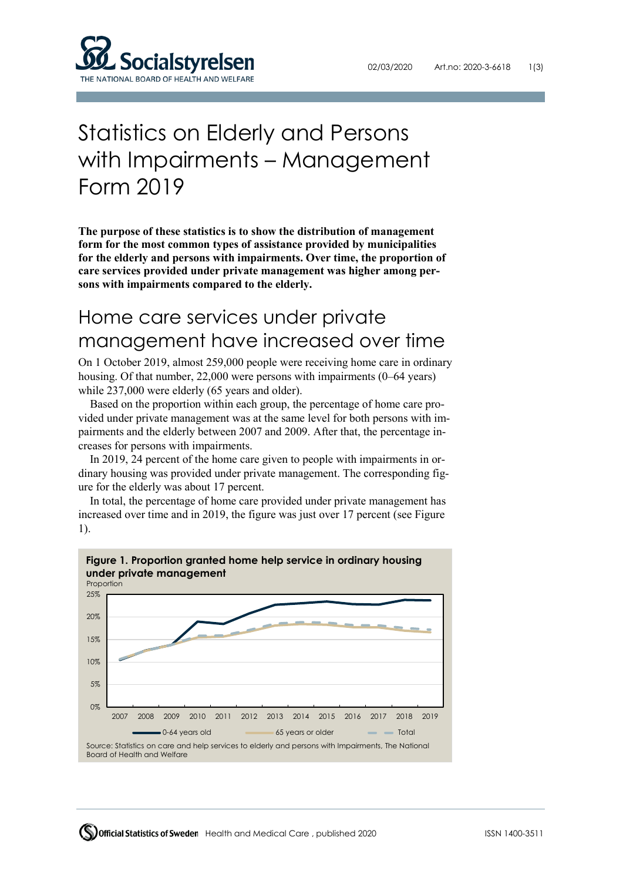

# Statistics on Elderly and Persons with Impairments – Management Form 2019

**The purpose of these statistics is to show the distribution of management form for the most common types of assistance provided by municipalities for the elderly and persons with impairments. Over time, the proportion of care services provided under private management was higher among persons with impairments compared to the elderly.**

## Home care services under private management have increased over time

On 1 October 2019, almost 259,000 people were receiving home care in ordinary housing. Of that number, 22,000 were persons with impairments (0–64 years) while 237,000 were elderly (65 years and older).

Based on the proportion within each group, the percentage of home care provided under private management was at the same level for both persons with impairments and the elderly between 2007 and 2009. After that, the percentage increases for persons with impairments.

In 2019, 24 percent of the home care given to people with impairments in ordinary housing was provided under private management. The corresponding figure for the elderly was about 17 percent.

In total, the percentage of home care provided under private management has increased over time and in 2019, the figure was just over 17 percent (see Figure 1).

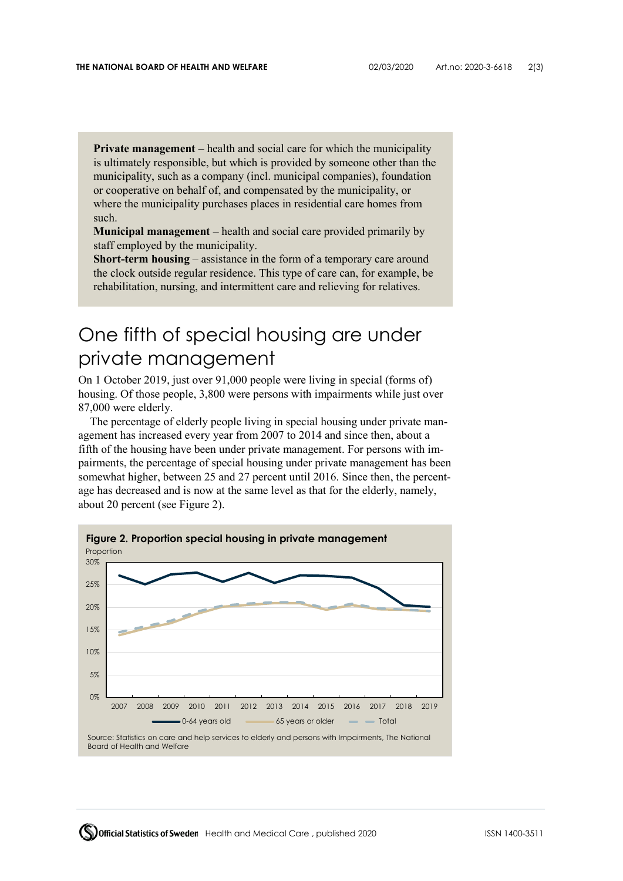**Private management** – health and social care for which the municipality is ultimately responsible, but which is provided by someone other than the municipality, such as a company (incl. municipal companies), foundation or cooperative on behalf of, and compensated by the municipality, or where the municipality purchases places in residential care homes from such.

**Municipal management** *–* health and social care provided primarily by staff employed by the municipality.

**Short-term housing** *–* assistance in the form of a temporary care around the clock outside regular residence. This type of care can, for example, be rehabilitation, nursing, and intermittent care and relieving for relatives.

### One fifth of special housing are under private management

On 1 October 2019, just over 91,000 people were living in special (forms of) housing. Of those people, 3,800 were persons with impairments while just over 87,000 were elderly.

The percentage of elderly people living in special housing under private management has increased every year from 2007 to 2014 and since then, about a fifth of the housing have been under private management. For persons with impairments, the percentage of special housing under private management has been somewhat higher, between 25 and 27 percent until 2016. Since then, the percentage has decreased and is now at the same level as that for the elderly, namely, about 20 percent (see Figure 2).